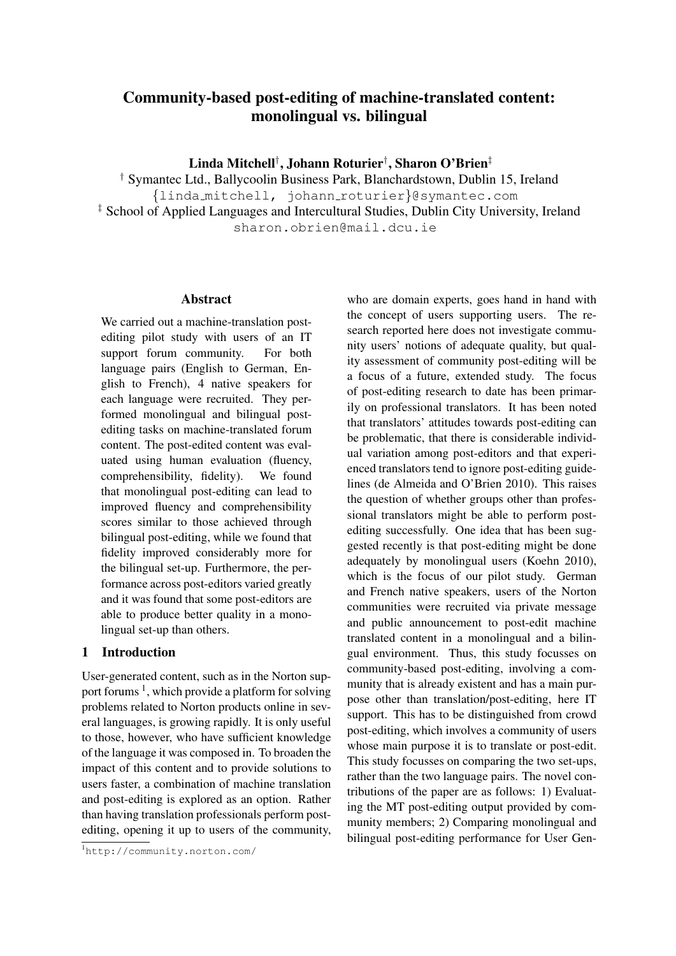# Community-based post-editing of machine-translated content: monolingual vs. bilingual

Linda Mitchell† , Johann Roturier† , Sharon O'Brien‡

† Symantec Ltd., Ballycoolin Business Park, Blanchardstown, Dublin 15, Ireland {linda mitchell, johann roturier}@symantec.com ‡ School of Applied Languages and Intercultural Studies, Dublin City University, Ireland sharon.obrien@mail.dcu.ie

#### Abstract

We carried out a machine-translation postediting pilot study with users of an IT support forum community. For both language pairs (English to German, English to French), 4 native speakers for each language were recruited. They performed monolingual and bilingual postediting tasks on machine-translated forum content. The post-edited content was evaluated using human evaluation (fluency, comprehensibility, fidelity). We found that monolingual post-editing can lead to improved fluency and comprehensibility scores similar to those achieved through bilingual post-editing, while we found that fidelity improved considerably more for the bilingual set-up. Furthermore, the performance across post-editors varied greatly and it was found that some post-editors are able to produce better quality in a monolingual set-up than others.

# 1 Introduction

User-generated content, such as in the Norton support forums<sup>1</sup>, which provide a platform for solving problems related to Norton products online in several languages, is growing rapidly. It is only useful to those, however, who have sufficient knowledge of the language it was composed in. To broaden the impact of this content and to provide solutions to users faster, a combination of machine translation and post-editing is explored as an option. Rather than having translation professionals perform postediting, opening it up to users of the community, who are domain experts, goes hand in hand with the concept of users supporting users. The research reported here does not investigate community users' notions of adequate quality, but quality assessment of community post-editing will be a focus of a future, extended study. The focus of post-editing research to date has been primarily on professional translators. It has been noted that translators' attitudes towards post-editing can be problematic, that there is considerable individual variation among post-editors and that experienced translators tend to ignore post-editing guidelines (de Almeida and O'Brien 2010). This raises the question of whether groups other than professional translators might be able to perform postediting successfully. One idea that has been suggested recently is that post-editing might be done adequately by monolingual users (Koehn 2010), which is the focus of our pilot study. German and French native speakers, users of the Norton communities were recruited via private message and public announcement to post-edit machine translated content in a monolingual and a bilingual environment. Thus, this study focusses on community-based post-editing, involving a community that is already existent and has a main purpose other than translation/post-editing, here IT support. This has to be distinguished from crowd post-editing, which involves a community of users whose main purpose it is to translate or post-edit. This study focusses on comparing the two set-ups, rather than the two language pairs. The novel contributions of the paper are as follows: 1) Evaluating the MT post-editing output provided by community members; 2) Comparing monolingual and bilingual post-editing performance for User Gen-

<sup>1</sup>http://community.norton.com/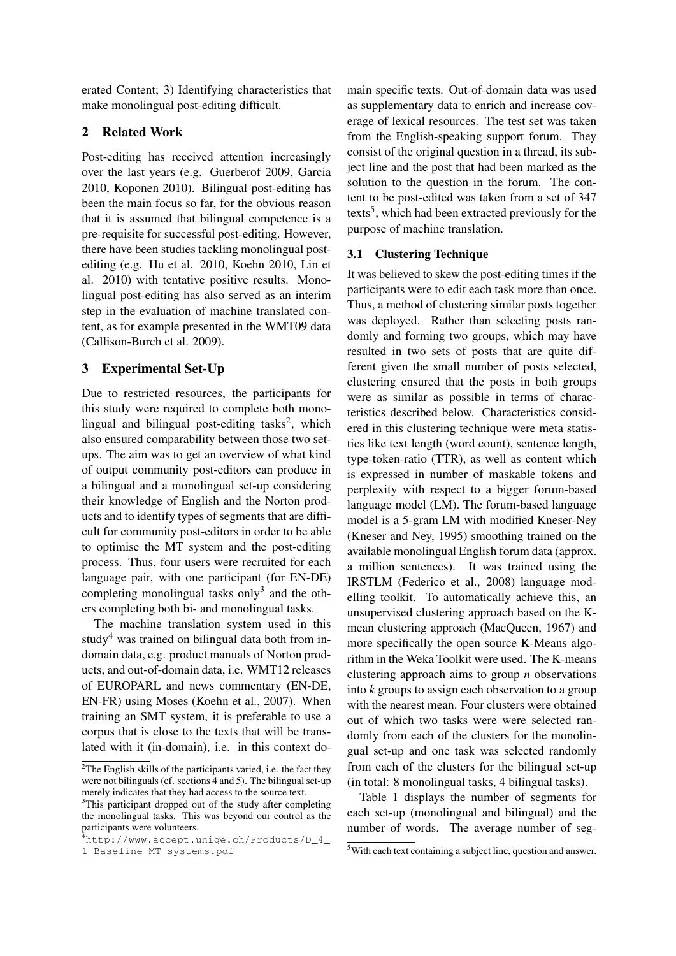erated Content; 3) Identifying characteristics that make monolingual post-editing difficult.

# 2 Related Work

Post-editing has received attention increasingly over the last years (e.g. Guerberof 2009, Garcia 2010, Koponen 2010). Bilingual post-editing has been the main focus so far, for the obvious reason that it is assumed that bilingual competence is a pre-requisite for successful post-editing. However, there have been studies tackling monolingual postediting (e.g. Hu et al. 2010, Koehn 2010, Lin et al. 2010) with tentative positive results. Monolingual post-editing has also served as an interim step in the evaluation of machine translated content, as for example presented in the WMT09 data (Callison-Burch et al. 2009).

# 3 Experimental Set-Up

Due to restricted resources, the participants for this study were required to complete both monolingual and bilingual post-editing tasks<sup>2</sup>, which also ensured comparability between those two setups. The aim was to get an overview of what kind of output community post-editors can produce in a bilingual and a monolingual set-up considering their knowledge of English and the Norton products and to identify types of segments that are difficult for community post-editors in order to be able to optimise the MT system and the post-editing process. Thus, four users were recruited for each language pair, with one participant (for EN-DE) completing monolingual tasks only<sup>3</sup> and the others completing both bi- and monolingual tasks.

The machine translation system used in this study<sup>4</sup> was trained on bilingual data both from indomain data, e.g. product manuals of Norton products, and out-of-domain data, i.e. WMT12 releases of EUROPARL and news commentary (EN-DE, EN-FR) using Moses (Koehn et al., 2007). When training an SMT system, it is preferable to use a corpus that is close to the texts that will be translated with it (in-domain), i.e. in this context domain specific texts. Out-of-domain data was used as supplementary data to enrich and increase coverage of lexical resources. The test set was taken from the English-speaking support forum. They consist of the original question in a thread, its subject line and the post that had been marked as the solution to the question in the forum. The content to be post-edited was taken from a set of 347 texts<sup>5</sup>, which had been extracted previously for the purpose of machine translation.

## 3.1 Clustering Technique

It was believed to skew the post-editing times if the participants were to edit each task more than once. Thus, a method of clustering similar posts together was deployed. Rather than selecting posts randomly and forming two groups, which may have resulted in two sets of posts that are quite different given the small number of posts selected, clustering ensured that the posts in both groups were as similar as possible in terms of characteristics described below. Characteristics considered in this clustering technique were meta statistics like text length (word count), sentence length, type-token-ratio (TTR), as well as content which is expressed in number of maskable tokens and perplexity with respect to a bigger forum-based language model (LM). The forum-based language model is a 5-gram LM with modified Kneser-Ney (Kneser and Ney, 1995) smoothing trained on the available monolingual English forum data (approx. a million sentences). It was trained using the IRSTLM (Federico et al., 2008) language modelling toolkit. To automatically achieve this, an unsupervised clustering approach based on the Kmean clustering approach (MacQueen, 1967) and more specifically the open source K-Means algorithm in the Weka Toolkit were used. The K-means clustering approach aims to group *n* observations into *k* groups to assign each observation to a group with the nearest mean. Four clusters were obtained out of which two tasks were were selected randomly from each of the clusters for the monolingual set-up and one task was selected randomly from each of the clusters for the bilingual set-up (in total: 8 monolingual tasks, 4 bilingual tasks).

Table 1 displays the number of segments for each set-up (monolingual and bilingual) and the number of words. The average number of seg-

<sup>&</sup>lt;sup>2</sup>The English skills of the participants varied, i.e. the fact they were not bilinguals (cf. sections 4 and 5). The bilingual set-up merely indicates that they had access to the source text.

<sup>&</sup>lt;sup>3</sup>This participant dropped out of the study after completing the monolingual tasks. This was beyond our control as the participants were volunteers.

<sup>4</sup>http://www.accept.unige.ch/Products/D\_4\_ 1\_Baseline\_MT\_systems.pdf

<sup>5</sup>With each text containing a subject line, question and answer.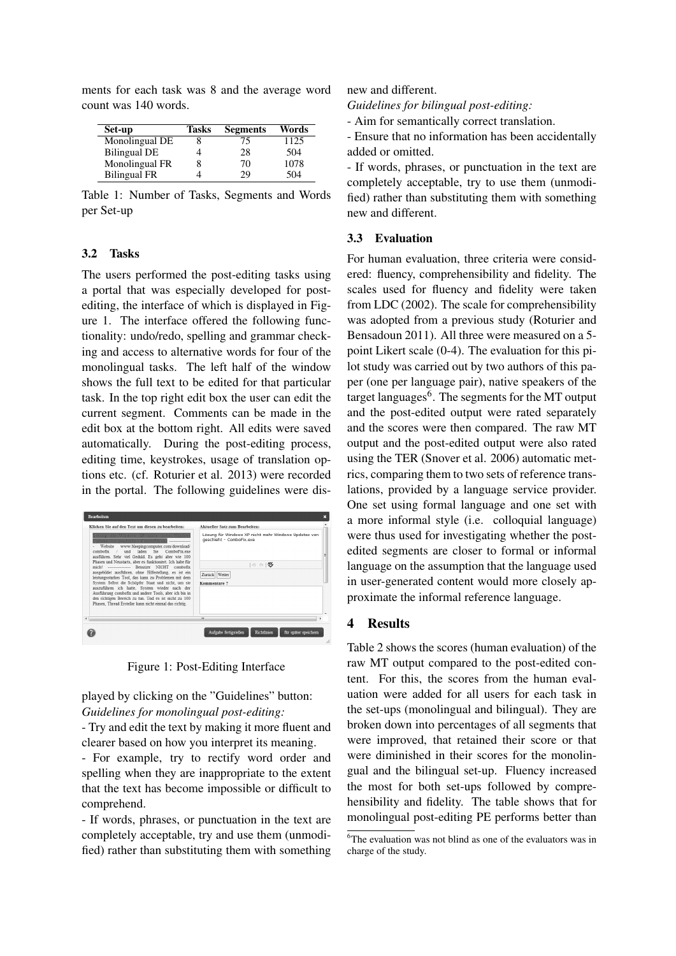| Set-up              | Tasks | <b>Segments</b> | Words |
|---------------------|-------|-----------------|-------|
| Monolingual DE      |       | 75              | 1125  |
| <b>Bilingual DE</b> |       | 28              | 504   |
| Monolingual FR      |       | 70              | 1078  |
| <b>Bilingual FR</b> |       | 29              | 504   |

count was 140 words.

ments for each task was 8 and the average word

Table 1: Number of Tasks, Segments and Words per Set-up

#### 3.2 Tasks

The users performed the post-editing tasks using a portal that was especially developed for postediting, the interface of which is displayed in Figure 1. The interface offered the following functionality: undo/redo, spelling and grammar checking and access to alternative words for four of the monolingual tasks. The left half of the window shows the full text to be edited for that particular task. In the top right edit box the user can edit the current segment. Comments can be made in the edit box at the bottom right. All edits were saved automatically. During the post-editing process, editing time, keystrokes, usage of translation options etc. (cf. Roturier et al. 2013) were recorded in the portal. The following guidelines were dis-

|            | <b>Bearbeiten</b>                                                                                                                                                                                                                                                                                                                                                                                                                                                                                                                                                                                                                                                                                                                                                                                                         |                                                                                                                                                                     | R |
|------------|---------------------------------------------------------------------------------------------------------------------------------------------------------------------------------------------------------------------------------------------------------------------------------------------------------------------------------------------------------------------------------------------------------------------------------------------------------------------------------------------------------------------------------------------------------------------------------------------------------------------------------------------------------------------------------------------------------------------------------------------------------------------------------------------------------------------------|---------------------------------------------------------------------------------------------------------------------------------------------------------------------|---|
| $\epsilon$ | Klicken Sie auf den Text um diesen zu bearbeiten:<br>Lösung für Windows XP nicht mehr Windows<br>Undates von geschicht - ComboFix.exe ---------------<br>Website www.bleeping.computer.com/download/<br>und laden Sie ComboFix exe<br>$combofix$ /<br>ausführen. Sehr viel Geduld. Es geht aber wie 100<br>Phasen und Neustarts, aber es funktioniert. Ich habe für<br>mich! --------------- Benutzer NICHT combofix<br>ausgebildet ausführen, ohne Hilfestellung, es ist ein<br>leistungsstarkes Tool, das kann zu Problemen mit dem<br>System Selbst die Schöpfer Staat und nicht, um sie<br>auszuführen ich hatte. System wieder nach der<br>Ausführung combofix und andere Tools, aber ich bin in<br>den richtigen Bereich zu tun. Und es ist nicht zu 100<br>Phasen. Thread Ersteller kann nicht einmal das richtig. | Aktueller Satz zum Bearbeiten:<br>Lösung für Windows XP nicht mehr Windows Updates von<br>geschieht - ComboFix.exe<br>1 (1 25<br>Zurück Weiter<br>Kommentare ?<br>m | Ξ |
|            |                                                                                                                                                                                                                                                                                                                                                                                                                                                                                                                                                                                                                                                                                                                                                                                                                           | Aufgabe fertigstellen<br>Richtlinien<br>für später speichern                                                                                                        |   |

Figure 1: Post-Editing Interface

played by clicking on the "Guidelines" button: *Guidelines for monolingual post-editing:*

- Try and edit the text by making it more fluent and clearer based on how you interpret its meaning.

- For example, try to rectify word order and spelling when they are inappropriate to the extent that the text has become impossible or difficult to comprehend.

- If words, phrases, or punctuation in the text are completely acceptable, try and use them (unmodified) rather than substituting them with something new and different.

*Guidelines for bilingual post-editing:*

- Aim for semantically correct translation.

- Ensure that no information has been accidentally added or omitted.

- If words, phrases, or punctuation in the text are completely acceptable, try to use them (unmodified) rather than substituting them with something new and different.

#### 3.3 Evaluation

For human evaluation, three criteria were considered: fluency, comprehensibility and fidelity. The scales used for fluency and fidelity were taken from LDC (2002). The scale for comprehensibility was adopted from a previous study (Roturier and Bensadoun 2011). All three were measured on a 5 point Likert scale (0-4). The evaluation for this pilot study was carried out by two authors of this paper (one per language pair), native speakers of the target languages<sup>6</sup>. The segments for the MT output and the post-edited output were rated separately and the scores were then compared. The raw MT output and the post-edited output were also rated using the TER (Snover et al. 2006) automatic metrics, comparing them to two sets of reference translations, provided by a language service provider. One set using formal language and one set with a more informal style (i.e. colloquial language) were thus used for investigating whether the postedited segments are closer to formal or informal language on the assumption that the language used in user-generated content would more closely approximate the informal reference language.

## 4 Results

Table 2 shows the scores (human evaluation) of the raw MT output compared to the post-edited content. For this, the scores from the human evaluation were added for all users for each task in the set-ups (monolingual and bilingual). They are broken down into percentages of all segments that were improved, that retained their score or that were diminished in their scores for the monolingual and the bilingual set-up. Fluency increased the most for both set-ups followed by comprehensibility and fidelity. The table shows that for monolingual post-editing PE performs better than

<sup>&</sup>lt;sup>6</sup>The evaluation was not blind as one of the evaluators was in charge of the study.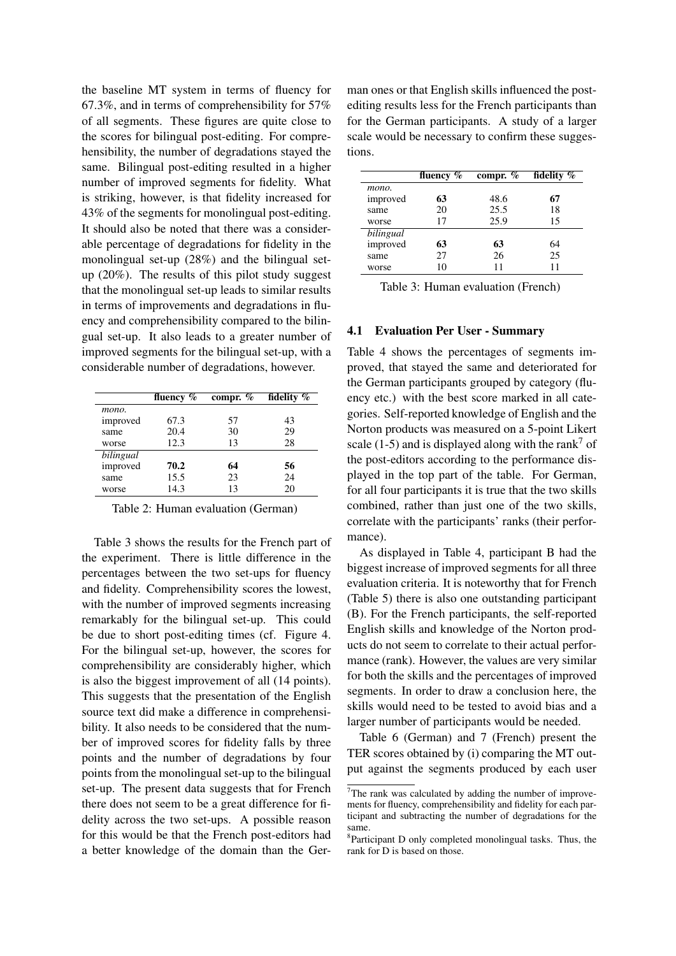the baseline MT system in terms of fluency for 67.3%, and in terms of comprehensibility for 57% of all segments. These figures are quite close to the scores for bilingual post-editing. For comprehensibility, the number of degradations stayed the same. Bilingual post-editing resulted in a higher number of improved segments for fidelity. What is striking, however, is that fidelity increased for 43% of the segments for monolingual post-editing. It should also be noted that there was a considerable percentage of degradations for fidelity in the monolingual set-up (28%) and the bilingual setup (20%). The results of this pilot study suggest that the monolingual set-up leads to similar results in terms of improvements and degradations in fluency and comprehensibility compared to the bilingual set-up. It also leads to a greater number of improved segments for the bilingual set-up, with a considerable number of degradations, however.

|           | fluency $\%$ | compr. $%$ | fidelity % |
|-----------|--------------|------------|------------|
| mono.     |              |            |            |
| improved  | 67.3         | 57         | 43         |
| same      | 20.4         | 30         | 29         |
| worse     | 12.3         | 13         | 28         |
| bilingual |              |            |            |
| improved  | 70.2         | 64         | 56         |
| same      | 15.5         | 23         | 24         |
| worse     | 14.3         | 13         | 20         |

Table 2: Human evaluation (German)

Table 3 shows the results for the French part of the experiment. There is little difference in the percentages between the two set-ups for fluency and fidelity. Comprehensibility scores the lowest, with the number of improved segments increasing remarkably for the bilingual set-up. This could be due to short post-editing times (cf. Figure 4. For the bilingual set-up, however, the scores for comprehensibility are considerably higher, which is also the biggest improvement of all (14 points). This suggests that the presentation of the English source text did make a difference in comprehensibility. It also needs to be considered that the number of improved scores for fidelity falls by three points and the number of degradations by four points from the monolingual set-up to the bilingual set-up. The present data suggests that for French there does not seem to be a great difference for fidelity across the two set-ups. A possible reason for this would be that the French post-editors had a better knowledge of the domain than the German ones or that English skills influenced the postediting results less for the French participants than for the German participants. A study of a larger scale would be necessary to confirm these suggestions.

|           | fluency $%$ | compr. $%$ | fidelity % |
|-----------|-------------|------------|------------|
| mono.     |             |            |            |
| improved  | 63          | 48.6       | 67         |
| same      | 20          | 25.5       | 18         |
| worse     | 17          | 25.9       | 15         |
| bilingual |             |            |            |
| improved  | 63          | 63         | 64         |
| same      | 27          | 26         | 25         |
| worse     | 10          | 11         | 11         |

Table 3: Human evaluation (French)

### 4.1 Evaluation Per User - Summary

Table 4 shows the percentages of segments improved, that stayed the same and deteriorated for the German participants grouped by category (fluency etc.) with the best score marked in all categories. Self-reported knowledge of English and the Norton products was measured on a 5-point Likert scale (1-5) and is displayed along with the rank<sup>7</sup> of the post-editors according to the performance displayed in the top part of the table. For German, for all four participants it is true that the two skills combined, rather than just one of the two skills, correlate with the participants' ranks (their performance).

As displayed in Table 4, participant B had the biggest increase of improved segments for all three evaluation criteria. It is noteworthy that for French (Table 5) there is also one outstanding participant (B). For the French participants, the self-reported English skills and knowledge of the Norton products do not seem to correlate to their actual performance (rank). However, the values are very similar for both the skills and the percentages of improved segments. In order to draw a conclusion here, the skills would need to be tested to avoid bias and a larger number of participants would be needed.

Table 6 (German) and 7 (French) present the TER scores obtained by (i) comparing the MT output against the segments produced by each user

<sup>7</sup>The rank was calculated by adding the number of improvements for fluency, comprehensibility and fidelity for each participant and subtracting the number of degradations for the same.

<sup>8</sup> Participant D only completed monolingual tasks. Thus, the rank for D is based on those.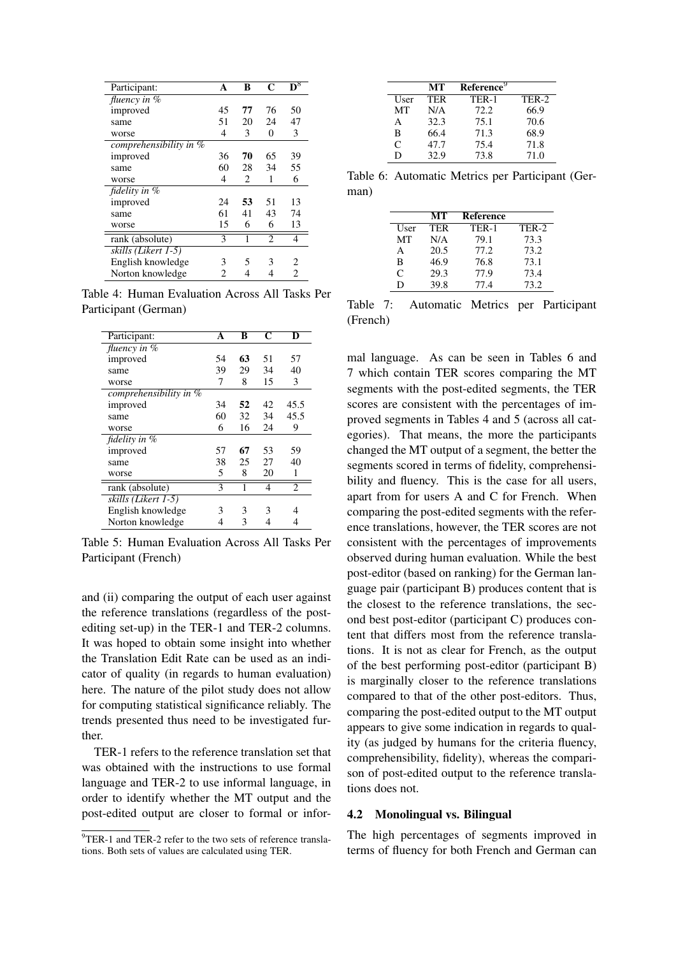| Participant:             | A  | B  | C              | $\overline{\mathbf{D}^8}$ |
|--------------------------|----|----|----------------|---------------------------|
| fluency in $%$           |    |    |                |                           |
| improved                 | 45 | 77 | 76             | 50                        |
| same                     | 51 | 20 | 24             | 47                        |
| worse                    | 4  | 3  | 0              | 3                         |
| comprehensibility in $%$ |    |    |                |                           |
| improved                 | 36 | 70 | 65             | 39                        |
| same                     | 60 | 28 | 34             | 55                        |
| worse                    | 4  | 2  | 1              | 6                         |
| fidelity in %            |    |    |                |                           |
| improved                 | 24 | 53 | 51             | 13                        |
| same                     | 61 | 41 | 43             | 74                        |
| worse                    | 15 | 6  | 6              | 13                        |
| rank (absolute)          | 3  | 1  | $\mathfrak{D}$ | 4                         |
| skills (Likert 1-5)      |    |    |                |                           |
| English knowledge        | 3  | 5  | 3              | 2                         |
| Norton knowledge         | 2  | 4  | 4              | 2                         |

Table 4: Human Evaluation Across All Tasks Per Participant (German)

| Participant:             | A  | B  | C  | D              |
|--------------------------|----|----|----|----------------|
| fluency in $%$           |    |    |    |                |
| improved                 | 54 | 63 | 51 | 57             |
| same                     | 39 | 29 | 34 | 40             |
| worse                    | 7  | 8  | 15 | 3              |
| comprehensibility in $%$ |    |    |    |                |
| improved                 | 34 | 52 | 42 | 45.5           |
| same                     | 60 | 32 | 34 | 45.5           |
| worse                    | 6  | 16 | 24 | 9              |
| fidelity in %            |    |    |    |                |
| improved                 | 57 | 67 | 53 | 59             |
| same                     | 38 | 25 | 27 | 40             |
| worse                    | 5  | 8  | 20 | 1              |
| rank (absolute)          | 3  | 1  | 4  | $\overline{c}$ |
| skills (Likert 1-5)      |    |    |    |                |
| English knowledge        | 3  | 3  | 3  | 4              |
| Norton knowledge         | 4  | 3  | 4  | 4              |

Table 5: Human Evaluation Across All Tasks Per Participant (French)

and (ii) comparing the output of each user against the reference translations (regardless of the postediting set-up) in the TER-1 and TER-2 columns. It was hoped to obtain some insight into whether the Translation Edit Rate can be used as an indicator of quality (in regards to human evaluation) here. The nature of the pilot study does not allow for computing statistical significance reliably. The trends presented thus need to be investigated further.

TER-1 refers to the reference translation set that was obtained with the instructions to use formal language and TER-2 to use informal language, in order to identify whether the MT output and the post-edited output are closer to formal or infor-

|      | MТ   | Reference <sup>9</sup> |       |
|------|------|------------------------|-------|
| User | TER  | TER-1                  | TER-2 |
| MT   | N/A  | 72.2.                  | 66.9  |
| A    | 32.3 | 75.1                   | 70.6  |
| B    | 66.4 | 71.3                   | 68.9  |
| C    | 47.7 | 75.4                   | 71.8  |
| D    | 32.9 | 73.8                   | 71.0  |
|      |      |                        |       |

Table 6: Automatic Metrics per Participant (German)

|               | МT   | Reference |       |
|---------------|------|-----------|-------|
| User          | TER  | TER-1     | TER-2 |
| MT            | N/A  | 79.1      | 73.3  |
| A             | 20.5 | 77.2      | 73.2  |
| B             | 46.9 | 76.8      | 73.1  |
| $\mathcal{C}$ | 29.3 | 77.9      | 73.4  |
| D             | 39.8 | 77.4      | 73.2  |

Table 7: Automatic Metrics per Participant (French)

mal language. As can be seen in Tables 6 and 7 which contain TER scores comparing the MT segments with the post-edited segments, the TER scores are consistent with the percentages of improved segments in Tables 4 and 5 (across all categories). That means, the more the participants changed the MT output of a segment, the better the segments scored in terms of fidelity, comprehensibility and fluency. This is the case for all users, apart from for users A and C for French. When comparing the post-edited segments with the reference translations, however, the TER scores are not consistent with the percentages of improvements observed during human evaluation. While the best post-editor (based on ranking) for the German language pair (participant B) produces content that is the closest to the reference translations, the second best post-editor (participant C) produces content that differs most from the reference translations. It is not as clear for French, as the output of the best performing post-editor (participant B) is marginally closer to the reference translations compared to that of the other post-editors. Thus, comparing the post-edited output to the MT output appears to give some indication in regards to quality (as judged by humans for the criteria fluency, comprehensibility, fidelity), whereas the comparison of post-edited output to the reference translations does not.

## 4.2 Monolingual vs. Bilingual

The high percentages of segments improved in terms of fluency for both French and German can

<sup>&</sup>lt;sup>9</sup>TER-1 and TER-2 refer to the two sets of reference translations. Both sets of values are calculated using TER.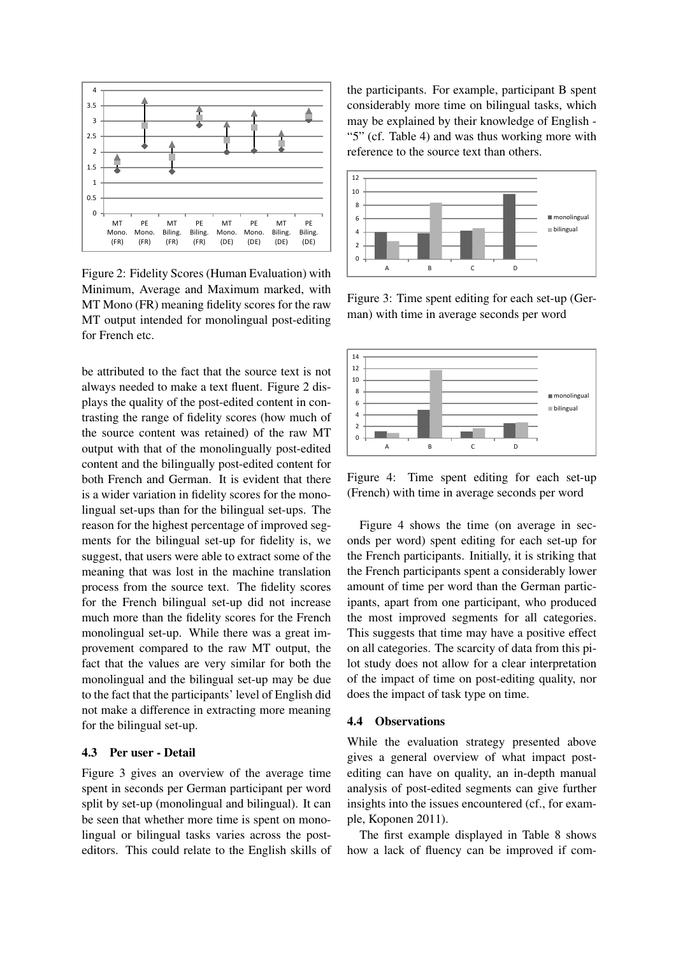

Figure 2: Fidelity Scores (Human Evaluation) with Minimum, Average and Maximum marked, with MT Mono (FR) meaning fidelity scores for the raw MT output intended for monolingual post-editing for French etc.

be attributed to the fact that the source text is not always needed to make a text fluent. Figure 2 displays the quality of the post-edited content in contrasting the range of fidelity scores (how much of the source content was retained) of the raw MT output with that of the monolingually post-edited content and the bilingually post-edited content for both French and German. It is evident that there is a wider variation in fidelity scores for the monolingual set-ups than for the bilingual set-ups. The reason for the highest percentage of improved segments for the bilingual set-up for fidelity is, we suggest, that users were able to extract some of the meaning that was lost in the machine translation process from the source text. The fidelity scores for the French bilingual set-up did not increase much more than the fidelity scores for the French monolingual set-up. While there was a great improvement compared to the raw MT output, the fact that the values are very similar for both the monolingual and the bilingual set-up may be due to the fact that the participants' level of English did not make a difference in extracting more meaning for the bilingual set-up.

# 4.3 Per user - Detail

Figure 3 gives an overview of the average time spent in seconds per German participant per word split by set-up (monolingual and bilingual). It can be seen that whether more time is spent on monolingual or bilingual tasks varies across the posteditors. This could relate to the English skills of the participants. For example, participant B spent considerably more time on bilingual tasks, which may be explained by their knowledge of English - "5" (cf. Table 4) and was thus working more with reference to the source text than others.



Figure 3: Time spent editing for each set-up (German) with time in average seconds per word



Figure 4: Time spent editing for each set-up (French) with time in average seconds per word

Figure 4 shows the time (on average in seconds per word) spent editing for each set-up for the French participants. Initially, it is striking that the French participants spent a considerably lower amount of time per word than the German participants, apart from one participant, who produced the most improved segments for all categories. This suggests that time may have a positive effect on all categories. The scarcity of data from this pilot study does not allow for a clear interpretation of the impact of time on post-editing quality, nor does the impact of task type on time.

### 4.4 Observations

While the evaluation strategy presented above gives a general overview of what impact postediting can have on quality, an in-depth manual analysis of post-edited segments can give further insights into the issues encountered (cf., for example, Koponen 2011).

The first example displayed in Table 8 shows how a lack of fluency can be improved if com-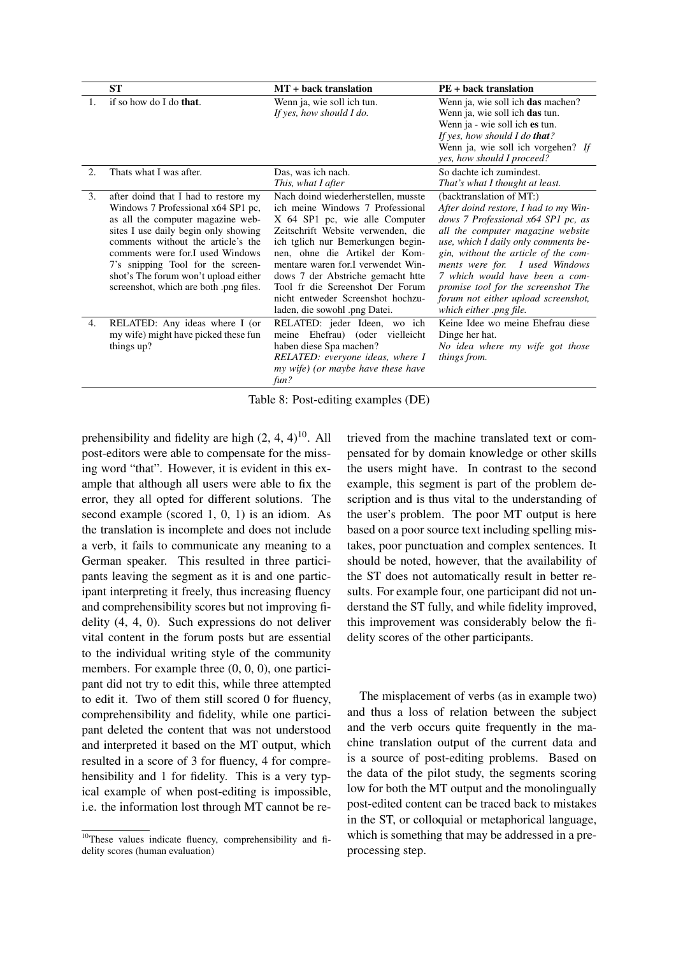|    | ST                                                                                                                                                                                                                                                                                                                                                      | MT + back translation                                                                                                                                                                                                                                                                                                                                                                                       | <b>PE</b> + back translation                                                                                                                                                                                                                                                                                                                                                                             |
|----|---------------------------------------------------------------------------------------------------------------------------------------------------------------------------------------------------------------------------------------------------------------------------------------------------------------------------------------------------------|-------------------------------------------------------------------------------------------------------------------------------------------------------------------------------------------------------------------------------------------------------------------------------------------------------------------------------------------------------------------------------------------------------------|----------------------------------------------------------------------------------------------------------------------------------------------------------------------------------------------------------------------------------------------------------------------------------------------------------------------------------------------------------------------------------------------------------|
| 1. | if so how do I do that.                                                                                                                                                                                                                                                                                                                                 | Wenn ja, wie soll ich tun.<br>If yes, how should I do.                                                                                                                                                                                                                                                                                                                                                      | Wenn ja, wie soll ich das machen?<br>Wenn ja, wie soll ich das tun.<br>Wenn ja - wie soll ich es tun.<br>If yes, how should I do <b>that</b> ?<br>Wenn ja, wie soll ich vorgehen? If<br>yes, how should I proceed?                                                                                                                                                                                       |
| 2. | Thats what I was after.                                                                                                                                                                                                                                                                                                                                 | Das, was ich nach.<br>This, what I after                                                                                                                                                                                                                                                                                                                                                                    | So dachte ich zumindest.<br>That's what I thought at least.                                                                                                                                                                                                                                                                                                                                              |
| 3. | after doind that I had to restore my<br>Windows 7 Professional x64 SP1 pc,<br>as all the computer magazine web-<br>sites I use daily begin only showing<br>comments without the article's the<br>comments were for.I used Windows<br>7's snipping Tool for the screen-<br>shot's The forum won't upload either<br>screenshot, which are both png files. | Nach doind wiederherstellen, musste<br>ich meine Windows 7 Professional<br>X 64 SP1 pc, wie alle Computer<br>Zeitschrift Website verwenden, die<br>ich tglich nur Bemerkungen begin-<br>nen, ohne die Artikel der Kom-<br>mentare waren for.I verwendet Win-<br>dows 7 der Abstriche gemacht htte<br>Tool fr die Screenshot Der Forum<br>nicht entweder Screenshot hochzu-<br>laden, die sowohl .png Datei. | (backtranslation of MT:)<br>After doind restore, I had to my Win-<br>dows 7 Professional x64 SP1 pc, as<br>all the computer magazine website<br>use, which I daily only comments be-<br>gin, without the article of the com-<br>ments were for. I used Windows<br>7 which would have been a com-<br>promise tool for the screenshot The<br>forum not either upload screenshot,<br>which either png file. |
| 4. | RELATED: Any ideas where I (or<br>my wife) might have picked these fun<br>things up?                                                                                                                                                                                                                                                                    | RELATED: jeder Ideen, wo ich<br>meine Ehefrau) (oder vielleicht<br>haben diese Spa machen?<br>RELATED: everyone ideas, where I<br>my wife) (or maybe have these have<br>fun?                                                                                                                                                                                                                                | Keine Idee wo meine Ehefrau diese<br>Dinge her hat.<br>No idea where my wife got those<br>things from.                                                                                                                                                                                                                                                                                                   |

Table 8: Post-editing examples (DE)

prehensibility and fidelity are high  $(2, 4, 4)^{10}$ . All post-editors were able to compensate for the missing word "that". However, it is evident in this example that although all users were able to fix the error, they all opted for different solutions. The second example (scored 1, 0, 1) is an idiom. As the translation is incomplete and does not include a verb, it fails to communicate any meaning to a German speaker. This resulted in three participants leaving the segment as it is and one participant interpreting it freely, thus increasing fluency and comprehensibility scores but not improving fidelity (4, 4, 0). Such expressions do not deliver vital content in the forum posts but are essential to the individual writing style of the community members. For example three  $(0, 0, 0)$ , one participant did not try to edit this, while three attempted to edit it. Two of them still scored 0 for fluency, comprehensibility and fidelity, while one participant deleted the content that was not understood and interpreted it based on the MT output, which resulted in a score of 3 for fluency, 4 for comprehensibility and 1 for fidelity. This is a very typical example of when post-editing is impossible, i.e. the information lost through MT cannot be retrieved from the machine translated text or compensated for by domain knowledge or other skills the users might have. In contrast to the second example, this segment is part of the problem description and is thus vital to the understanding of the user's problem. The poor MT output is here based on a poor source text including spelling mistakes, poor punctuation and complex sentences. It should be noted, however, that the availability of the ST does not automatically result in better results. For example four, one participant did not understand the ST fully, and while fidelity improved, this improvement was considerably below the fidelity scores of the other participants.

The misplacement of verbs (as in example two) and thus a loss of relation between the subject and the verb occurs quite frequently in the machine translation output of the current data and is a source of post-editing problems. Based on the data of the pilot study, the segments scoring low for both the MT output and the monolingually post-edited content can be traced back to mistakes in the ST, or colloquial or metaphorical language, which is something that may be addressed in a preprocessing step.

 $10$ These values indicate fluency, comprehensibility and fidelity scores (human evaluation)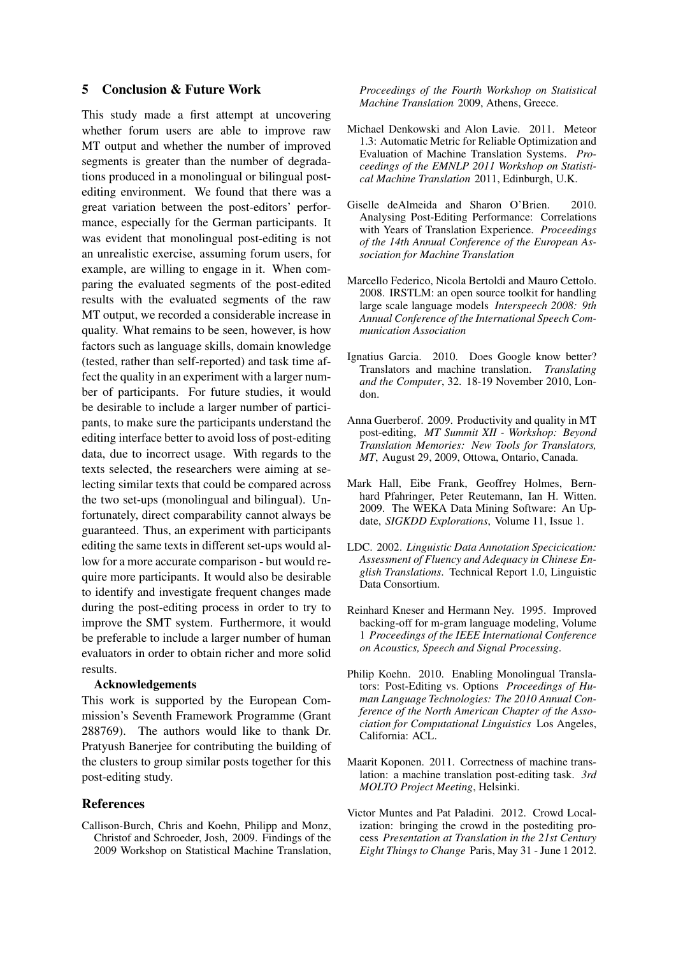# 5 Conclusion & Future Work

This study made a first attempt at uncovering whether forum users are able to improve raw MT output and whether the number of improved segments is greater than the number of degradations produced in a monolingual or bilingual postediting environment. We found that there was a great variation between the post-editors' performance, especially for the German participants. It was evident that monolingual post-editing is not an unrealistic exercise, assuming forum users, for example, are willing to engage in it. When comparing the evaluated segments of the post-edited results with the evaluated segments of the raw MT output, we recorded a considerable increase in quality. What remains to be seen, however, is how factors such as language skills, domain knowledge (tested, rather than self-reported) and task time affect the quality in an experiment with a larger number of participants. For future studies, it would be desirable to include a larger number of participants, to make sure the participants understand the editing interface better to avoid loss of post-editing data, due to incorrect usage. With regards to the texts selected, the researchers were aiming at selecting similar texts that could be compared across the two set-ups (monolingual and bilingual). Unfortunately, direct comparability cannot always be guaranteed. Thus, an experiment with participants editing the same texts in different set-ups would allow for a more accurate comparison - but would require more participants. It would also be desirable to identify and investigate frequent changes made during the post-editing process in order to try to improve the SMT system. Furthermore, it would be preferable to include a larger number of human evaluators in order to obtain richer and more solid results.

#### Acknowledgements

This work is supported by the European Commission's Seventh Framework Programme (Grant 288769). The authors would like to thank Dr. Pratyush Banerjee for contributing the building of the clusters to group similar posts together for this post-editing study.

# References

Callison-Burch, Chris and Koehn, Philipp and Monz, Christof and Schroeder, Josh, 2009. Findings of the 2009 Workshop on Statistical Machine Translation, *Proceedings of the Fourth Workshop on Statistical Machine Translation* 2009, Athens, Greece.

- Michael Denkowski and Alon Lavie. 2011. Meteor 1.3: Automatic Metric for Reliable Optimization and Evaluation of Machine Translation Systems. *Proceedings of the EMNLP 2011 Workshop on Statistical Machine Translation* 2011, Edinburgh, U.K.
- Giselle deAlmeida and Sharon O'Brien. 2010. Analysing Post-Editing Performance: Correlations with Years of Translation Experience. *Proceedings of the 14th Annual Conference of the European Association for Machine Translation*
- Marcello Federico, Nicola Bertoldi and Mauro Cettolo. 2008. IRSTLM: an open source toolkit for handling large scale language models *Interspeech 2008: 9th Annual Conference of the International Speech Communication Association*
- Ignatius Garcia. 2010. Does Google know better? Translators and machine translation. *Translating and the Computer*, 32. 18-19 November 2010, London.
- Anna Guerberof. 2009. Productivity and quality in MT post-editing, *MT Summit XII - Workshop: Beyond Translation Memories: New Tools for Translators, MT*, August 29, 2009, Ottowa, Ontario, Canada.
- Mark Hall, Eibe Frank, Geoffrey Holmes, Bernhard Pfahringer, Peter Reutemann, Ian H. Witten. 2009. The WEKA Data Mining Software: An Update, *SIGKDD Explorations*, Volume 11, Issue 1.
- LDC. 2002. *Linguistic Data Annotation Specicication: Assessment of Fluency and Adequacy in Chinese English Translations*. Technical Report 1.0, Linguistic Data Consortium.
- Reinhard Kneser and Hermann Ney. 1995. Improved backing-off for m-gram language modeling, Volume 1 *Proceedings of the IEEE International Conference on Acoustics, Speech and Signal Processing*.
- Philip Koehn. 2010. Enabling Monolingual Translators: Post-Editing vs. Options *Proceedings of Human Language Technologies: The 2010 Annual Conference of the North American Chapter of the Association for Computational Linguistics* Los Angeles, California: ACL.
- Maarit Koponen. 2011. Correctness of machine translation: a machine translation post-editing task. *3rd MOLTO Project Meeting*, Helsinki.
- Victor Muntes and Pat Paladini. 2012. Crowd Localization: bringing the crowd in the postediting process *Presentation at Translation in the 21st Century Eight Things to Change* Paris, May 31 - June 1 2012.